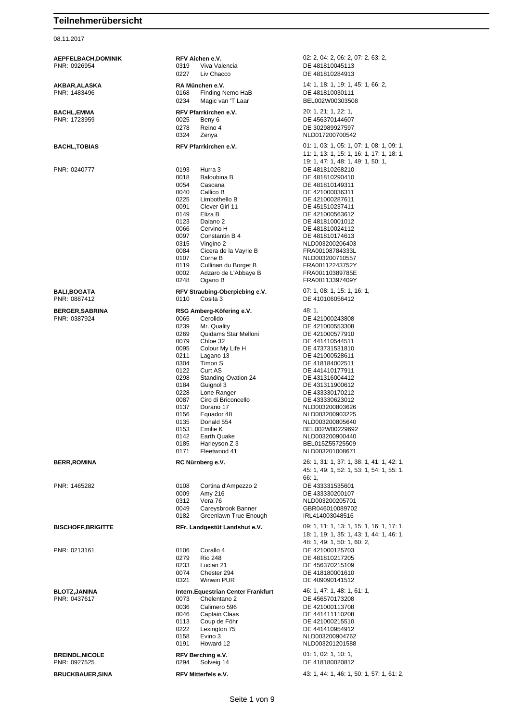08.11.2017

| BALI,BOGATA  |  |
|--------------|--|
| PNR: 0887412 |  |

| <b>BERR, ROMINA</b> |  |
|---------------------|--|
|                     |  |

**AEPFELBACH,DOMINIK RFV Aichen e.V.** 02: 2, 04: 2, 06: 2, 07: 2, 63: 2, 08: 2, 07: 2, 63: 2, 08: 2, 07: 2, 63: 2, 08: 2, 07: 2, 08: 2, 07: 2, 08: 2, 07: 2, 08: 2, 07: 2, 08: 2, 07: 2, 08: 2, 07: 2, 08: 2, 07: 2, 08: 2, 0 DE 481810045113 0227 Liv Chacco DE 481810284913 **AKBAR,ALASKA RA München e.V.** 14: 1, 18: 1, 19: 1, 45: 1, 66: 2, PNR: 1483496 0168 Finding Nemo HaB DE 481810030111 0234 Magic van 'T Laar BEL002W00303508 **BACHL,EMMA RFV Pfarrkirchen e.V.** 20: 1, 21: 1, 22: 1, PNR: 1723959 0025 Beny 6 DE 456370144607 0278 Reino 4 DE 302989927597 0324 Zenya NLD017200700542 **BACHL,TOBIAS RFV Pfarrkirchen e.V.** 01: 1, 03: 1, 05: 1, 07: 1, 08: 1, 09: 1, 11: 1, 13: 1, 15: 1, 16: 1, 17: 1, 18: 1, 19: 1, 47: 1, 48: 1, 49: 1, 50: 1, PNR: 0240777 0193 Hurra 3 DE 481810268210 0018 Baloubina B DE 481810290410<br>0054 Cascana DE 481810149311 0054 Cascana DE 481810149311 0040 Callico B DE 421000036311<br>0225 Limbothello B DE 421000287611 0225 Limbothello B DE 421000287611<br>0091 Clever Girl 11 DE 451510237411 0091 Clever Girl 11 DE 451510237411<br>0149 Eliza B DE 421000563612 0149 Eliza B<br>
0123 Daiano 2 De 481810001012 0123 Daiano 2 DE 481810001012<br>0066 Cervino H DE 481810024112 0066 Cervino H DE 481810024112 0097 Constantin B 4 DE 481810174613 0315 Vingino 2 NLD003200206403<br>0084 Cicera de la Vavrie B FRA001087843331 Cicera de la Vayrie B 0107 Corne B NLD003200710557 0119 Cullinan du Borget B FRA00112243752Y 0002 Adzaro de L'Abbaye B FRA00110389785E 0248 Ogano B FRA00113397409Y **BALISTAN BALLIFY Straubing-Oberpiebing e.V.** 07: 1, 08: 1, 15: 1, 16: 1, 0110 Cosita 3 DE 410106056412 **BERGER,SABRINA RSG Amberg-Köfering e.V.** 48: 1,<br>PNR: 0387924 **DE 43: 1, 0065** Cerolido 0065 Cerolido **DE 421000243808** 0239 Mr. Quality DE 421000553308<br>0269 Quidams Star Melloni DE 421000577910 0269 Quidams Star Melloni<br>0079 Chloe 32 0079 Chloe 32 DE 441410544511<br>0095 Colour My Life H DE 473731531810 0095 Colour My Life H DE 473731531810<br>0211 Lagano 13 DE 421000528611 0211 Lagano 13 DE 421000528611 0304 Timon S DE 418184002511<br>0122 Curt AS DE 441410177911 0122 Curt AS DE 441410177911<br>0298 Standing Ovation 24 DE 431316004412 0298 Standing Ovation 24<br>0184 Guignol 3 0184 Guignol 3 DE 431311900612<br>0228 Lone Ranger Cass DE 433330170212 0228 Lone Ranger DE 433330170212<br>0087 Circ di Briconcello DE 433330623012 Ciro di Briconcello 0137 Dorano 17 NLD003200803626<br>0156 Equador 48 NLD003200903225 0156 Equador 48 NLD003200903225<br>0135 Donald 554 NLD003200805640 0135 Donald 554 NLD003200805640 0153 Emilie K BEL002W00229692 0142 Earth Quake NLD003200900440 0185 Harleyson Z 3 BEL015Z55725509 0171 Fleetwood 41 NLD003201008671 **BERRY RC Nürnberg e.V.** 26: 1, 31: 1, 37: 1, 38: 1, 41: 1, 42: 1, 45: 1, 49: 1, 52: 1, 53: 1, 54: 1, 55: 1, 66: 1,<br>DE 433331535601 PNR: 1465282 0108 Cortina d'Ampezzo 2<br>31333160009 0009 0009 Amy 216 Amy 216 DE 433330200107 0312 Vera 76 NLD003200205701<br>0049 Carevsbrook Banner GBR046010089702 Careysbrook Banner 0182 Greenlawn True Enough IRL414003048516 **BISCHOFF,BRIGITTE RFr. Landgestüt Landshut e.V.** 09: 1, 11: 1, 13: 1, 15: 1, 16: 1, 17: 1, 18: 1, 19: 1, 35: 1, 43: 1, 44: 1, 46: 1, 48: 1, 49: 1, 50: 1, 60: 2, PNR: 0213161 0106 Corallo 4 DE 421000125703 0279 Rio 248 DE 481810217205<br>0233 Lucian 21 DE 456370215109 0233 Lucian 21 DE 456370215109<br>0074 Chester 294 DE 418180001610 0074 Chester 294 DE 418180001610 DE 409090141512 **BLOTZ,JANINA Intern.Equestrian Center Frankfurt** 46: 1, 47: 1, 48: 1, 61: 1, <br>PNR: 0437617 **Intern.Equestrian Center Frankfurt** 19: 1, 47: 1, 48: 1, 61: 1, 98: 1, 99: 1, 99: 1, 99: 1, 99: 1 0073 Chelentano 2 DE 456570173208 0036 Calimero 596 DE 421000113708<br>0046 Cantain Claas DE 441411110208 Captain Claas **DE 441411110208** 0113 Coup de Föhr DE 421000215510 0222 Lexington 75 DE 441410954912<br>0158 Evino 3 De NLD003200904762 Evino 3 <br>
12 MLD003200904762<br>
NLD003201201588 0191 Howard 12 NLD003201201588 **BREINDL,NICOLE RFV Berching e.V.** 01: 1, 02: 1, 10: 1, PNR: 0927525 0294 Solveig 14 DE 418180020812

**BRUCKBAUER, SINA RFV Mitterfels e.V.** 43: 1, 44: 1, 46: 1, 50: 1, 57: 1, 61: 2,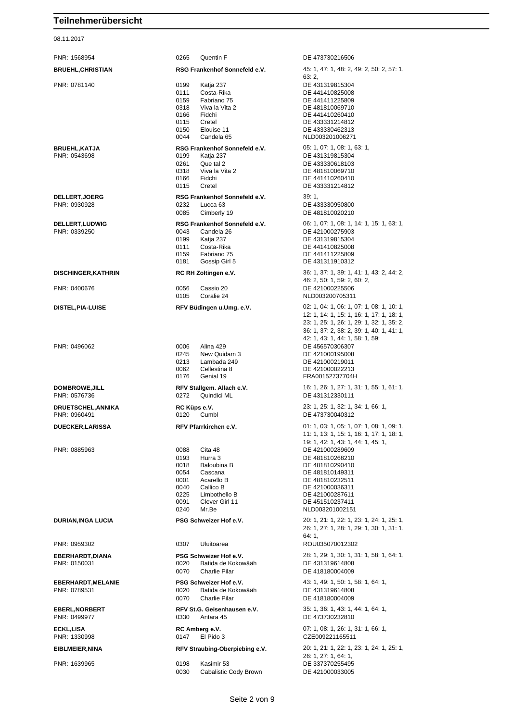08.11.2017

PNR: 1568954 0265 Quentin F DE 473730216506 PNR: 0781140 0199 Katja 237 DE 431319815304 0111 Costa-Rika DE 441410825008 0159 Fabriano 75 DE 441411225809 0318 Viva la Vita 2 DE 481810069710<br>0166 Fidchi DE 441410260410 0115 Cretel DE 433331214812<br>0150 Elouise 11 DE 433330462313 0044 Candela 65 NLD003201006271 **BRUEHL,KATJA RSG Frankenhof Sonnefeld e.V.** 05: 1, 07: 1, 08: 1, 63: 1, 08: 1, 63: 1, 08: 1, 63: 1, 08: 1, 08: 1, 08: 1, 08: 1, 08: 1, 08: 1, 08: 1, 08: 1, 08: 1, 08: 1, 08: 1, 08: 1, 08: 1, 08: 1, 08: 1, 08: 1, 08: 1, 0261 Que tal 2 DE 433330618103<br>0318 Viva la Vita 2 DE 481810069710 0318 Viva la Vita 2 DE 481810069710<br>0166 Fidchi DE 441410260410 0115 Cretel DE 433331214812 **DELLERT,JOERG RSG Frankenhof Sonnefeld e.V.** 39: 1,<br>PNR: 0930928 **DE 4:** 39: 1, 232 Lucca 63 0085 Cimberly 19 DE 481810020210 PNR: 0339250 0043 Candela 26 DE 421000275903 0199 Katja 237 DE 431319815304<br>111 Costa-Rika DE 441410825008 0111 Costa-Rika DE 441410825008 0181 Gossip Girl 5 DE 431311910312 PNR: 0400676 0056 Cassio 20 DE 421000225506 0105 Coralie 24 NLD003200705311 PNR: 0496062 0006 Alina 429 DE 456570306307 0245 New Quidam 3 DE 421000195008 0213 Lambada 249 DE 421000219011 0062 Cellestina 8 DE 421000022213 0176 Genial 19 FRA00152737704H PNR: 0576736 0272 Quindici ML DE 431312330111 **DRUETSCHEL,ANNIKA RC Küps e.V.** 23: 1, 25: 1, 32: 1, 34: 1, 66: 1, PNR: 0885963 0088 Cita 48 DE 421000289609 0193 Hurra 3 DE 481810268210 0018 Baloubina B DE 481810290410 0054 Cascana DE 481810149311 0001 Acarello B<br>0040 Callico B DE 421000036311 0040 Callico B DE 421000036311<br>0225 Limbothello B DE 421000287611 0225 Limbothello B DE 421000287611<br>0091 Clever Girl 11 DE 451510237411 0240 Mr.Be NLD003201002151 PNR: 0959302 0307 Uluitoarea ROU035070012302 0020 Batida de Kokowääh DE 431319614808 0070 Charlie Pilar DE 418180004009 **EBERHARDT,MELANIE PSG Schweizer Hof e.V.** 43: 1, 49: 1, 50: 1, 58: 1, 64: 1, PNR: 0789531 0020 Batida de Kokowääh DE 431319614808 0070 Charlie Pilar DE 418180004009 **EBERL,NORBERT RFV St.G. Geisenhausen e.V.** 35: 1, 36: 1, 43: 1, 44: 1, 64: 1, PNR: 0499977 0330 Antara 45 DE 473730232810 **ECKL,LISA RC Amberg e.V. RC Amberg e.V.** 07: 1, 08: 1, 26: 1, 31: 1, 66: 1,<br>
PNR: 1330998 **147** El Pido 3 CZE009221165511 0147 El Pido 3 CZE009221165511 PNR: 1639965 0198 Kasimir 53 DE 337370255495

**BRUEHL,CHRISTIAN RSG Frankenhof Sonnefeld e.V.** 45: 1, 47: 1, 48: 2, 49: 2, 50: 2, 57: 1,  $63:2$ DE 441410260410 DE 433330462313 DE 431319815304 DE 441410260410 DE 433330950800 **DELLERT,LUDWIG RSG Frankenhof Sonnefeld e.V.** 06: 1, 07: 1, 08: 1, 14: 1, 15: 1, 63: 1, DE 441411225809 **DISCHINGER,KATHRIN RC RH Zoltingen e.V.** 36: 1, 37: 1, 39: 1, 41: 1, 43: 2, 44: 2, 46: 2, 50: 1, 59: 2, 60: 2, **DISTEL,PIA-LUISE RFV Büdingen u.Umg. e.V.** 02: 1, 04: 1, 06: 1, 07: 1, 08: 1, 10: 1, 12: 1, 14: 1, 15: 1, 16: 1, 17: 1, 18: 1, 23: 1, 25: 1, 26: 1, 29: 1, 32: 1, 35: 2, 36: 1, 37: 2, 38: 2, 39: 1, 40: 1, 41: 1, 42: 1, 43: 1, 44: 1, 58: 1, 59: **DOMBROWE, JILL <b>RFV Stallgem. Allach e.V.** 16: 1, 26: 1, 27: 1, 31: 1, 55: 1, 61: 1, PNR: 0960491 0120 Cumbl DE 473730040312 **DUECKER,LARISSA RFV Pfarrkirchen e.V.** 01: 1, 03: 1, 05: 1, 07: 1, 08: 1, 09: 1, 11: 1, 13: 1, 15: 1, 16: 1, 17: 1, 18: 1, 19: 1, 42: 1, 43: 1, 44: 1, 45: 1, DE 451510237411 **DURIAN,INGA LUCIA PSG Schweizer Hof e.V.** 20: 1, 21: 1, 22: 1, 23: 1, 24: 1, 25: 1, 26: 1, 27: 1, 28: 1, 29: 1, 30: 1, 31: 1, 64: 1, **EBERHARDT,DIANA PSG Schweizer Hof e.V.** 28: 1, 29: 1, 30: 1, 31: 1, 58: 1, 64: 1,<br>
PNR: 0150031<br> **PDE 431319614808**<br>
PDE 431319614808 **EIBLMEIER,NINA RFV Straubing-Oberpiebing e.V.** 20: 1, 21: 1, 22: 1, 23: 1, 24: 1, 25: 1, 26: 1, 27: 1, 64: 1, 0030 Cabalistic Cody Brown DE 421000033005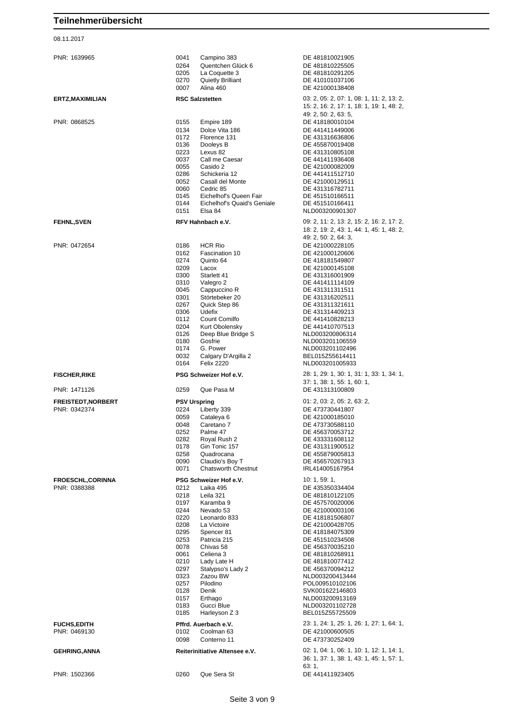#### 08.11.2017

| PNR: 1639965                                                | 0041<br>Campino 383<br>0264<br>Quentchen Glück 6<br>0205<br>La Coquette 3<br>0270<br><b>Quietly Brilliant</b><br>0007<br>Alina 460                                                                                                                                                                                                                                                                                  | DE 481810021905<br>DE 481810225505<br>DE 481810291205<br>DE 410101037106<br>DE 421000138408                                                                                                                                                                                                                                                                         |
|-------------------------------------------------------------|---------------------------------------------------------------------------------------------------------------------------------------------------------------------------------------------------------------------------------------------------------------------------------------------------------------------------------------------------------------------------------------------------------------------|---------------------------------------------------------------------------------------------------------------------------------------------------------------------------------------------------------------------------------------------------------------------------------------------------------------------------------------------------------------------|
| ERTZ, MAXIMILIAN                                            | <b>RSC Salzstetten</b>                                                                                                                                                                                                                                                                                                                                                                                              | 03: 2, 05: 2, 07: 1, 08: 1, 11: 2, 13: 2,<br>15: 2, 16: 2, 17: 1, 18: 1, 19: 1, 48: 2,                                                                                                                                                                                                                                                                              |
| PNR: 0868525                                                | 0155<br>Empire 189<br>0134<br>Dolce Vita 186<br>0172<br>Florence 131<br>0136<br>Dooleys B<br>0223<br>Lexus 82<br>0037<br>Call me Caesar<br>0055<br>Casido 2<br>0286<br>Schickeria 12<br>0052<br>Casall del Monte<br>0060<br>Cedric 85<br>Eichelhof's Queen Fair<br>0145<br>Eichelhof's Quaid's Geniale<br>0144<br>0151<br>Elsa 84                                                                                   | 49: 2, 50: 2, 63: 5,<br>DE 418180010104<br>DE 441411449006<br>DE 431316636806<br>DE 455870019408<br>DE 431310805108<br>DE 441411936408<br>DE 421000082009<br>DE 441411512710<br>DE 421000129511<br>DE 431316782711<br>DE 451510166511<br>DE 451510166411<br>NLD003200901307                                                                                         |
| <b>FEHNL,SVEN</b>                                           | RFV Hahnbach e.V.                                                                                                                                                                                                                                                                                                                                                                                                   | 09: 2, 11: 2, 13: 2, 15: 2, 16: 2, 17: 2,<br>18: 2, 19: 2, 43: 1, 44: 1, 45: 1, 48: 2,<br>49: 2, 50: 2, 64: 3,                                                                                                                                                                                                                                                      |
| PNR: 0472654                                                | 0186<br><b>HCR Rio</b><br>0162<br>Fascination 10<br>0274<br>Quinto 64<br>0209<br>Lacox<br>0300<br>Starlett 41<br>0310<br>Valegro 2<br>0045<br>Cappuccino R<br>0301<br>Störtebeker 20<br>0267<br>Quick Step 86<br>0306<br>Udefix<br>0112<br>Count Comilfo<br>0204<br>Kurt Obolensky<br>0126<br>Deep Blue Bridge S<br>Gosfrie<br>0180<br>0174<br>G. Power<br>0032<br>Calgary D'Argilla 2<br>0164<br><b>Felix 2220</b> | DE 421000228105<br>DE 421000120606<br>DE 418181549807<br>DE 421000145108<br>DE 431316001909<br>DE 441411114109<br>DE 431311311511<br>DE 431316202511<br>DE 431311321611<br>DE 431314409213<br>DE 441410828213<br>DE 441410707513<br>NLD003200806314<br>NLD003201106559<br>NLD003201102496<br>BEL015Z55614411<br>NLD003201005933                                     |
| <b>FISCHER, RIKE</b>                                        | PSG Schweizer Hof e.V.                                                                                                                                                                                                                                                                                                                                                                                              | 28: 1, 29: 1, 30: 1, 31: 1, 33: 1, 34: 1,<br>37: 1, 38: 1, 55: 1, 60: 1,                                                                                                                                                                                                                                                                                            |
| PNR: 1471126                                                | Que Pasa M<br>0259                                                                                                                                                                                                                                                                                                                                                                                                  | DE 431313100809                                                                                                                                                                                                                                                                                                                                                     |
| <b>FREISTEDT, NORBERT</b><br>PNR: 0342374                   | <b>PSV Urspring</b><br>0224<br>Liberty 339<br>0059<br>Cataleya 6<br>0048<br>Caretano 7<br>0252<br>Palme 47<br>0282<br>Royal Rush 2<br>0178<br>Gin Tonic 157<br>0258<br>Quadrocana<br>0090<br>Claudio's Boy T<br>0071<br><b>Chatsworth Chestnut</b>                                                                                                                                                                  | 01: 2, 03: 2, 05: 2, 63: 2,<br>DE 473730441807<br>DE 421000185010<br>DE 473730588110<br>DE 456370053712<br>DE 433331608112<br>DE 431311900512<br>DE 455879005813<br>DE 456570267913<br>IRL414005167954                                                                                                                                                              |
| <b>FROESCHL,CORINNA</b><br>PNR: 0388388                     | PSG Schweizer Hof e.V.<br>0212<br>Laika 495<br>0218<br>Leila 321<br>0197<br>Karamba 9<br>0244<br>Nevado 53<br>0220<br>Leonardo 833<br>0208<br>La Victoire<br>0295<br>Spencer 81<br>0253<br>Patricia 215<br>0078<br>Chivas 58<br>0061<br>Celiena 3<br>0210<br>Lady Late H<br>0297<br>Stalypso's Lady 2<br>0323<br>Zazou BW<br>0257<br>Pilodino<br>0128<br>Denik<br>Erthago<br>0157<br>0183<br>Gucci Blue             | 10: 1, 59: 1,<br>DE 435350334404<br>DE 481810122105<br>DE 457570020006<br>DE 421000003106<br>DE 418181506807<br>DE 421000428705<br>DE 418184075309<br>DE 451510234508<br>DE 456370035210<br>DE 481810268911<br>DE 481810077412<br>DE 456370094212<br>NLD003200413444<br>POL009510102106<br>SVK001622146803<br>NLD003200913169<br>NLD003201102728<br>BEL015Z55725509 |
|                                                             | 0185<br>Harleyson Z 3                                                                                                                                                                                                                                                                                                                                                                                               |                                                                                                                                                                                                                                                                                                                                                                     |
| <b>FUCHS, EDITH</b><br>PNR: 0469130<br><b>GEHRING, ANNA</b> | Pffrd. Auerbach e.V.<br>Coolman 63<br>0102<br>0098<br>Conterno 11<br>Reiterinitiative Altensee e.V.                                                                                                                                                                                                                                                                                                                 | 23: 1, 24: 1, 25: 1, 26: 1, 27: 1, 64: 1,<br>DE 421000600505<br>DE 473730252409<br>02: 1, 04: 1, 06: 1, 10: 1, 12: 1, 14: 1,                                                                                                                                                                                                                                        |
| PNR: 1502366                                                | 0260<br>Que Sera St                                                                                                                                                                                                                                                                                                                                                                                                 | 36: 1, 37: 1, 38: 1, 43: 1, 45: 1, 57: 1,<br>63: 1,<br>DE 441411923405                                                                                                                                                                                                                                                                                              |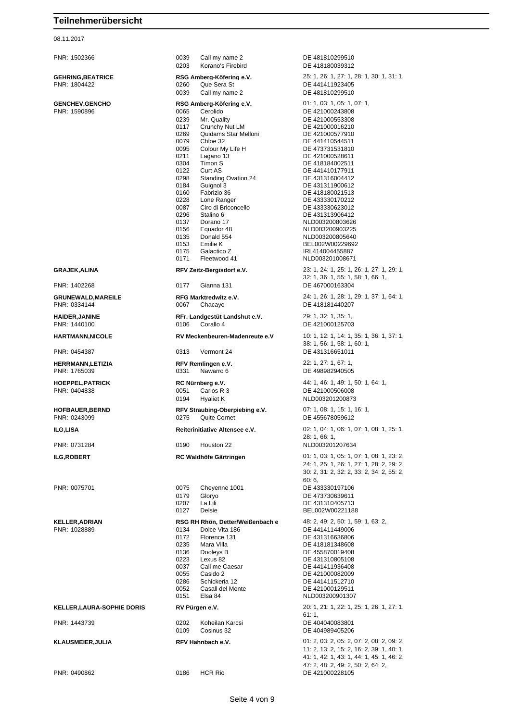#### 08.11.2017

| KELLER,LAURA-SOPHIE DORIS |  |  |
|---------------------------|--|--|
|                           |  |  |

PNR: 0490862 0186 HCR Rio DE 421000228105

PNR: 1502366 0039 Call my name 2 DE 481810299510 0203 Korano's Firebird DE 418180039312 **GEHRING,BEATRICE RSG Amberg-Köfering e.V.** 25: 1, 26: 1, 27: 1, 28: 1, 30: 1, 31: 1, 0039 Call my name 2 DE 481810299510 **GENCHEV,GENCHO RSG Amberg-Köfering e.V.** 01: 1, 03: 1, 05: 1, 07: 1,<br>
PNR: 1590896<br>
OOG5 Cerolido DE 421000243808 0065 Cerolido **DE 421000243808** 0239 Mr. Quality DE 421000553308<br>
0117 Crunchy Nut LM DE 421000016210 0117 Crunchy Nut LM DE 421000016210 0269 Quidams Star Melloni<br>0079 Chloe 32 0079 Chloe 32 DE 441410544511 0095 Colour My Life H DE 473731531810<br>0211 Lagano 13 DE 421000528611 0211 Lagano 13 DE 421000528611 0304 Timon S DE 418184002511<br>0122 Curt AS DE 441410177911 0122 Curt AS DE 441410177911<br>0298 Standing Ovation 24 DE 431316004412 0298 Standing Ovation 24<br>0184 Guignol 3 0184 Guignol 3 DE 431311900612<br>0160 Fabrizio 36 DE 418180021513 0160 Fabrizio 36 **DE 418180021513**<br>0228 Lone Ranger **DE 433330170212** 0228 Lone Ranger Capital DE 433330170212<br>0087 Ciro di Briconcello Capital DE 433330623012 0087 Ciro di Briconcello **DE 433330623012**<br>0296 Stalino 6 **DE 431313906412** Stalino 6 DE 431313906412<br>Dorano 17 NJ D003200803626 0137 Dorano 17 NLD003200803626<br>0156 Equador 48 NLD003200903225 0156 Equador 48 NLD003200903225<br>0135 Donald 554 NLD003200805640 0153 Emilie K BEL002W00229692 0175 Galactico Z IRL414004455887 0171 Fleetwood 41 NLD003201008671 **GRAJEK,ALINA RFV Zeitz-Bergisdorf e.V.** 23: 1, 24: 1, 25: 1, 26: 1, 27: 1, 29: 1, PNR: 1402268 0177 Gianna 131 DE 467000163304 **GRUNEWALD,MAREILE RFG Marktredwitz e.V.** 24: 1, 26: 1, 28: 1, 29: 1, 37: 1, 64: 1, PNR: 0334144 0067 Chacayo DE 418181440207 **HAIDER,JANINE RFr. Landgestüt Landshut e.V.** 29: 1, 32: 1, 35: 1, 0106 Corallo 4 DE 421000125703 **HARTMANN,NICOLE RV Meckenbeuren-Madenreute e.V** 10: 1, 12: 1, 14: 1, 35: 1, 36: 1, 37: 1, PNR: 0454387 0313 Vermont 24 DE 431316651011 **HERRMANN,LETIZIA RFV Remlingen e.V.** 22: 1, 27: 1, 67: 1, 0331 Nawarro 6 DE 498982940505 **HOEPPEL,PATRICK <b>RC Nürnberg e.V.** 44: 1, 46: 1, 49: 1, 50: 1, 64: 1, 49: 1, 50: 1, 64: 1, PNR: 0404838 0051 Carlos R 3 DE 421000506008 0194 Hyaliet K NLD003201200873 **HOFBAUER,BERND RFV Straubing-Oberpiebing e.V.** 07: 1, 08: 1, 15: 1, 16: 1, PNR: 0243099 0275 Quite Cornet DE 455678059612 **ILG,LISA Reiterinitiative Altensee e.V.** 02: 1, 04: 1, 06: 1, 07: 1, 08: 1, 25: 1, PNR: 0731284 0190 Houston 22 NLD003201207634 **ILG,ROBERT RC Waldhöfe Gärtringen** 01: 1, 03: 1, 05: 1, 07: 1, 08: 1, 23: 2, 60: 6, PNR: 0075701 0075 Cheyenne 1001 DE 433330197106 0207 La Lili DE 431310405713 0127 Delsie BEL002W00221188 **KELLER,ADRIAN RSG RH Rhön, Detter/Weißenbach e** 48: 2, 49: 2, 50: 1, 59: 1, 63: 2, 0134 Dolce Vita 186 DE 441411449006 0172 Florence 131 DE 431316636806 0235 Mara Villa<br>
0136 Dooleys B De A55870019408 0136 Dooleys B<br>0223 Lexus 82 DE 431310805108 0037 Call me Caesar DE 441411936408 0055 Casido 2 DE 421000082009 0286 Schickeria 12 DE 441411512710<br>0052 Casall del Monte DE 421000129511 0052 Casall del Monte DE 421000129511 **KELLER,LAURA-SOPHIE DORIS RV Pürgen e.V.** 20: 1, 21: 1, 22: 1, 25: 1, 26: 1, 27: 1, 61: 1, PNR: 1443739 0202 Koheilan Karcsi DE 404040083801 0109 Cosinus 32 DE 404989405206 **KLAUSMEIER,JULIA RFV Hahnbach e.V.** 01: 2, 03: 2, 05: 2, 07: 2, 08: 2, 09: 2, 41: 1, 42: 1, 43: 1, 44: 1, 45: 1, 46: 2, 47: 2, 48: 2, 49: 2, 50: 2, 64: 2,

DE 441411923405 NLD003200805640 32: 1, 36: 1, 55: 1, 58: 1, 66: 1, 38: 1, 56: 1, 58: 1, 60: 1, 28: 1, 66: 1, 24: 1, 25: 1, 26: 1, 27: 1, 28: 2, 29: 2, 30: 2, 31: 2, 32: 2, 33: 2, 34: 2, 55: 2, DE 473730639611 DE 431310805108 NLD003200901307 11: 2, 13: 2, 15: 2, 16: 2, 39: 1, 40: 1,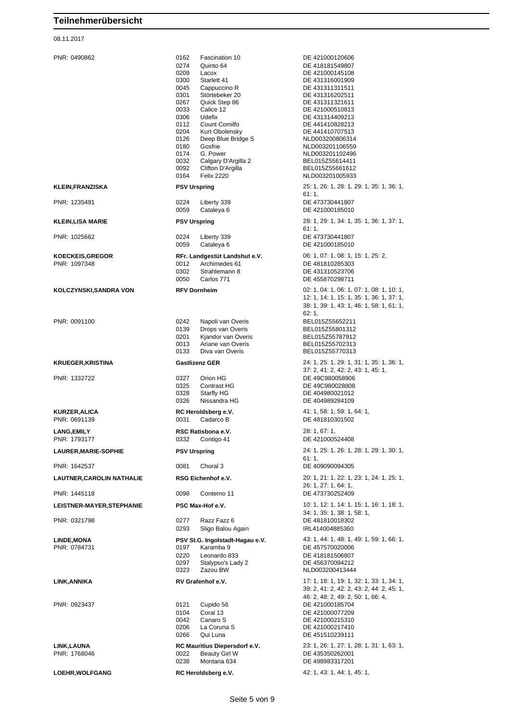08.11.2017

PNR: 0490862 0162 Fascination 10 DE 421000120606 0274 Quinto 64 DE 418181549807<br>0209 Lacox DE 421000145108 Lacox DE 421000145108 0300 Starlett 41 DE 431316001909 0045 Cappuccino R DE 431311311511 0301 Störtebeker 20 DE 431316202511 0267 Quick Step 86 DE 431311321611 0033 Calice 12 DE 421000510813 0306 Udefix DE 431314409213<br>
0112 Count Comilfo DE 441410828213 0204 Kurt Obolensky<br>
0126 Deep Blue Bridge S<br>
NLD003200806314 0126 Deep Blue Bridge S<br>0180 Gosfrie 0180 Gostrie (1899)<br>174 G. Power (1899) NLD003201102496 0174 G. Power NLD003201102496<br>0032 Calgary D'Argilla 2 BEL015Z55614411 0032 Calgary D'Argilla 2<br>0092 Clifton D'Argilla 0092 Clifton D'Argilla BEL015Z55661612 **KLEIN,FRANZISKA PSV Urspring** 25: 1, 26: 1, 28: 1, 29: 1, 35: 1, 36: 1, PNR: 1235491 0224 Liberty 339 DE 473730441807 0059 Cataleya 6 DE 421000185010 **KLEIN,LISA MARIE PSV Urspring** 28: 1, 29: 1, 34: 1, 35: 1, 36: 1, 37: 1, PNR: 1025662 0224 Liberty 339 DE 473730441807 0059 Cataleya 6 DE 421000185010 **KOECKEIS,GREGOR RFr. Landgestüt Landshut e.V.** 06: 1, 07: 1, 08: 1, 15: 1, 25: 2, PNR: 1097348 0012 Archimedes 61 DE 481810285303 0302 Strahlemann 8 DE 431310523706<br>0050 Carlos 771 DE 455870298711 **KOLCZYNSKI,SANDRA VON RFV Dornheim** 02: 1, 04: 1, 06: 1, 07: 1, 08: 1, 10: 1, PNR: 0091100 0242 Napoli van Overis BEL015Z55652211 0139 Drops van Overis BEL015Z55801312<br>19201 Kiandor van Overis BEL015Z55787912 0201 Kjandor van Overis<br>0013 Ariane van Overis 0013 Ariane van Overis BEL015Z55702313<br>0133 Diva van Overis BEL015Z55770313 **KRUEGER,KRISTINA Gastlizenz GER** 24: 1, 25: 1, 29: 1, 31: 1, 35: 1, 36: 1, PNR: 1332722 0327 Orion HG DE 49C980058906 0325 Contrast HG DE 49C980028808<br>0328 Starfly HG DE 404980021012 0328 Starfly HG DE 404980021012 **KURZER,ALICA RC Heroldsberg e.V.** 41: 1, 58: 1, 59: 1, 64: 1, PNR: 0691139 0031 Cadarco B DE 481810301502 **LANG,EMILY RSC Ratisbona e.V.** 28: 1, 67: 1, PNR: 1793177 0332 Contigo 41 DE 421000524408 **LAURER,MARIE-SOPHIE PSV Urspring** 24: 1, 25: 1, 26: 1, 28: 1, 29: 1, 30: 1, PNR: 1642537 0081 Choral 3 DE 409090094305 **LAUTNER,CAROLIN NATHALIE RSG Eichenhof e.V.** 20: 1, 21: 1, 22: 1, 23: 1, 24: 1, 25: 1, PNR: 1445118 0098 Conterno 11 DE 473730252409 **LEISTNER-MAYER,STEPHANIE PSC Max-Hof e.V.** 10: 1, 12: 1, 14: 1, 15: 1, 16: 1, 18: 1, PNR: 0321798 0277 Razz Fazz 6 DE 481810018302 0293 Sligo Balou Again IRL414004885360 **LINDE,MONA PSV St.G. Ingolstadt-Hagau e.V.** 43: 1, 44: 1, 48: 1, 49: 1, 59: 1, 66: 1, PNR: 0784731 0197 Karamba 9 DE 457570020006 0220 Leonardo 833 DE 418181506807<br>0297 Stalypso's Lady 2 DE 456370094212 0297 Stalypso's Lady 2 DE 456370094212<br>0323 Zazou BW NLD003200413444 **LINK,ANNIKA RV Grafenhof e.V.** 17: 1, 18: 1, 19: 1, 32: 1, 33: 1, 34: 1, PNR: 0923437 0121 Cupido 56 DE 421000185704 0104 Coral 13 DE 421000077209<br>0042 Canaro S DE 421000215310 0042 Canaro S<br>0206 La Coruna S DE 421000217410 0206 La Coruna S DE 421000217410 **LINK,LAUNA RC Mauritius Diepersdorf e.V.** 23: 1, 26: 1, 27: 1, 28: 1, 31: 1, 63: 1, 0022 Beauty Girl W DE 435350262001 0238 Montana 634 DE 498983317201

DE 441410828213 NLD003201005933 61: 1,  $61:1$ DE 455870298711 12: 1, 14: 1, 15: 1, 35: 1, 36: 1, 37: 1, 38: 1, 39: 1, 43: 1, 46: 1, 58: 1, 61: 1,  $62 \cdot 1$ BEL015Z55770313 37: 2, 41: 2, 42: 2, 43: 1, 45: 1, DE 404989284109 61: 1, 26: 1, 27: 1, 64: 1, 34: 1, 35: 1, 38: 1, 58: 1, NLD003200413444 39: 2, 41: 2, 42: 2, 43: 2, 44: 2, 45: 1, 46: 2, 48: 2, 49: 2, 50: 1, 66: 4, DE 451510239111

Seite 5 von 9

**LOEHR,WOLFGANG RC Heroldsberg e.V.** 42: 1, 43: 1, 44: 1, 45: 1,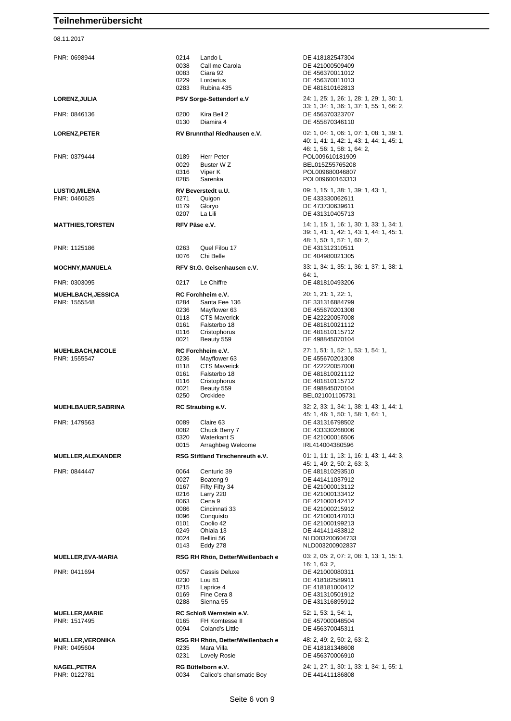08.11.2017

PNR: 0698944 0214 Lando L DE 418182547304<br>0038 Call me Carola DE 421000509409 0038 Call me Carola<br>0083 Ciara 92 DE 456370011012 Ciara 92 DE 456370011012 0229 Lordarius DE 456370011013<br>0283 Rubina 435 DE 481810162813 0283 Rubina 435 DE 481810162813 **LORENZ,JULIA PSV Sorge-Settendorf e.V** 24: 1, 25: 1, 26: 1, 28: 1, 29: 1, 30: 1, PNR: 0846136 0200 Kira Bell 2 DE 456370323707 0130 Diamira 4 DE 455870346110 **LORENZ,PETER RV Brunnthal Riedhausen e.V.** 02: 1, 04: 1, 06: 1, 07: 1, 08: 1, 39: 1, PNR: 0379444 0189 Herr Peter POL009610181909 0029 Buster W Z BEL015Z55765208<br>0316 Viper K BELOTS POL 009680046807 0316 Viper K POL009680046807 POL009600163313 **LUSTIG,MILENA RV Beverstedt u.U.** 09: 1, 15: 1, 38: 1, 39: 1, 43: 1, 20: 1, 43: 1, 20: 1, 43: 1, 20: 1, 20: 1, 20: 1, 20: 271 Quigon 0271 Quigon DE 433330062611 0179 Gloryo DE 473730639611 0207 La Lili DE 431310405713 **MATTHIES, TORSTEN RFV Päse e.V.** 14: 1, 15: 1, 16: 1, 30: 1, 33: 1, 34: 1, 1, 15: 1, 16: 1, 30: 1, 34: 1, PNR: 1125186 0263 Quel Filou 17 DE 431312310511 0076 Chi Belle DE 404980021305 **MOCHNY,MANUELA RFV St.G. Geisenhausen e.V.** 33: 1, 34: 1, 35: 1, 36: 1, 37: 1, 38: 1, 38: 1, 64: 1, PNR: 0303095 0217 Le Chiffre DE 481810493206 **MUEHLBACH,JESSICA RC Forchheim e.V.** 20: 1, 21: 1, 22: 1, PNR: 1555548 0284 Santa Fee 136 DE 331316884799 0236 Mayflower 63 DE 455670201308 0118 CTS Maverick DE 422220057008 0161 Falsterbo 18 DE 481810021112 0116 Cristophorus DE 481810115712<br>0021 Beauty 559 DE 498845070104 DE 498845070104 **MUEHLBACH,NICOLE RC Forchheim e.V.** 27: 1, 51: 1, 52: 1, 53: 1, 54: 1, 52: 1, 53: 1, 54: 1, 52: 1, 54: 1, 54: 1, 52: 1, 53: 1, 54: 1, FRIC 201308 DE 455670201308 0118 CTS Maverick DE 422220057008 0161 Falsterbo 18 DE 481810021112 0116 Cristophorus DE 481810115712 0021 Beauty 559 DE 498845070104 0250 Orckidee BEL021001105731 **MUEHLBAUER,SABRINA RC Straubing e.V.** 32: 2, 33: 1, 34: 1, 38: 1, 43: 1, 44: 1, PNR: 1479563 0089 Claire 63 DE 431316798502<br>0082 Chuck Berry 7 DE 433330268006 0082 Chuck Berry 7 DE 433330268006 0320 Waterkant S<br>
0015 Arraghbeg Welcome<br>
1RL414004380596 Arraghbeg Welcome **MUELLER,ALEXANDER RSG Stiftland Tirschenreuth e.V.** 01: 1, 11: 1, 13: 1, 16: 1, 43: 1, 44: 3, PNR: 0844447 0064 Centurio 39 DE 481810293510 0027 Boateng 9 DE 441411037912 0167 Fifty Fifty 34 DE 421000013112<br>0216 Larry 220 DE 421000133412 DE 421000133412 0063 Cena 9 DE 421000142412 0086 Cincinnati 33 DE 421000215912 0096 Conquisto Conditation Conditation Conditation DE 421000147013<br>DE 421000199213 0101 Coolio 42 DE 421000199213 01 Ohlala 13 DE 441411483812<br>
Bellini 56 NLD003200604733 0024 Bellini 56 NLD003200604733<br>0143 Eddy 278 NLD003200902837 0143 Eddy 278 NLD003200902837 **MUELLER,EVA-MARIA RSG RH Rhön, Detter/Weißenbach e** 03: 2, 05: 2, 07: 2, 08: 1, 13: 1, 15: 1, 16: 1, 63: 2, PNR: 0411694 0057 Cassis Deluxe DE 421000080311 0230 Lou 81 DE 418182589911<br>0215 Laprice 4 DE 418181000412 0215 Laprice 4 DE 418181000412<br>0169 Fine Cera 8 DE 431310501912 DE 431310501912 0288 Sienna 55 DE 431316895912 **MUELLER,MARIE RC Schloß Wernstein e.V.** 52: 1, 53: 1, 54: 1, PNR: 1517495 0165 FH Komtesse II DE 457000048504 0094 Coland's Little DE 456370045311 **MUELLER,VERONIKA RSG RH Rhön, Detter/Weißenbach e** 48: 2, 49: 2, 50: 2, 63: 2, PNR: 0495604 0235 Mara Villa DE 418181348608 0231 Lovely Rosie DE 456370006910

PNR: 0122781 0034 Calico's charismatic Boy DE 441411186808

33: 1, 34: 1, 36: 1, 37: 1, 55: 1, 66: 2, 40: 1, 41: 1, 42: 1, 43: 1, 44: 1, 45: 1, 46: 1, 56: 1, 58: 1, 64: 2, 39: 1, 41: 1, 42: 1, 43: 1, 44: 1, 45: 1, 48: 1, 50: 1, 57: 1, 60: 2, 45: 1, 46: 1, 50: 1, 58: 1, 64: 1, 45: 1, 49: 2, 50: 2, 63: 3,

**NAGEL,PETRA RG Büttelborn e.V.** 24: 1, 27: 1, 30: 1, 33: 1, 34: 1, 55: 1,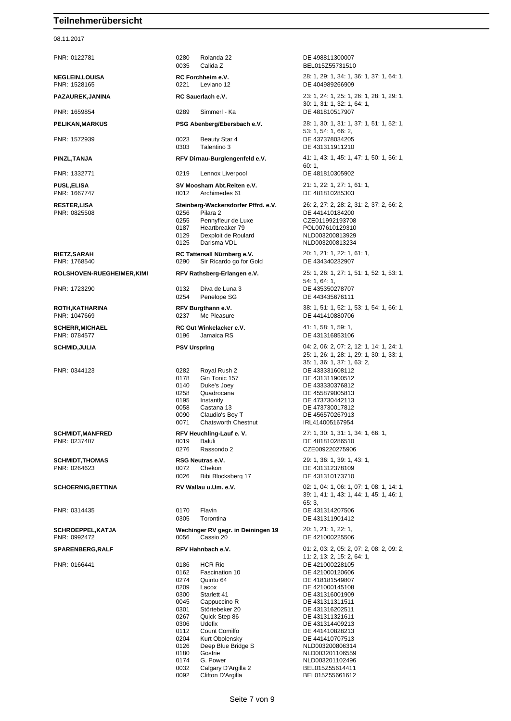#### 08.11.2017

PNR: 0122781 0280 Rolanda 22 DE 498811300007 0035 Calida Z BEL015755731510 0221 Leviano 12 DE 404989266909 PNR: 1659854 0289 Simmerl - Ka DE 481810517907 PNR: 1572939 0023 Beauty Star 4 DE 437378034205 0303 Talentino 3 DE 431311911210 PNR: 1332771 0219 Lennox Liverpool DE 481810305902 **PUSL,ELISA SV Moosham Abt.Reiten e.V.** 21: 1, 22: 1, 27: 1, 61: 1, 22: 1, 27: 1, 61: 1, 22: 1, 27: 1, 61: 1, 20: 1, 27: 1, 61: 1, 20: 1, 27: 1, 61: 1, 20: 1, 27: 1, 61: 1, 20: 21: 1, 27: 1, 61: 1, 20: 21: 21: 21: 21: 21 PNR: 0825508 0256 Pilara 2 DE 441410184200 0255 Pennyfleur de Luxe CZE011992193708<br>0187 Heartbreaker 79 POL007610129310 0187 Heartbreaker 79 POL007610129310<br>0129 Dexploit de Roulard NLD003200813929 Dexploit de Roulard 0125 Darisma VDL NLD003200813234 **RIETZ,SARAH RC Tattersall Nürnberg e.V.** 20: 1, 21: 1, 22: 1, 61: 1, PNR: 1768540 0290 Sir Ricardo go for Gold DE 434340232907 PNR: 1723290 0132 Diva de Luna 3 DE 435350278707 0254 Penelope SG DE 443435676111 PNR: 1047669 0237 Mc Pleasure DE 441410880706 **SCHERR,MICHAEL RC Gut Winkelacker e.V.** 41: 1, 58: 1, 59: 1, 0196 Jamaica RS DE 431316853106 PNR: 0344123 0282 Royal Rush 2 DE 433331608112 0178 Gin Tonic 157 DE 431311900512 0140 Duke's Joey DE 43330376812<br>0258 Ouadrocana DE 455879005813 0258 Quadrocana DE 455879005813 0195 Instantly DE 473730442113 0058 Castana 13 DE 473730017812 0090 Claudio's Boy T<br>0071 Chatsworth Chestnut 1RL414005167954 Chatsworth Chestnut **SCHMIDT,MANFRED RFV Heuchling-Lauf e. V.** 27: 1, 30: 1, 31: 1, 34: 1, 66: 1, 0019 Baluli DE 481810286510 0276 Rassondo 2 CZE009220275906 **SCHMIDT,THOMAS RSG Neutras e.V.** 29: 1, 36: 1, 39: 1, 43: 1, PNR: 0264623 0072 Chekon DE 431312378109 0026 Bibi Blocksberg 17 DE 431310173710 PNR: 0314435 0170 Flavin DE 431314207506 0305 Torontina DE 431311901412 **SCHROEPPEL,KATJA Wechinger RV gegr. in Deiningen 19** 20: 1, 21: 1, 22: 1, PNR: 0992472 0056 Cassio 20 DE 421000225506 PNR: 0166441 0186 HCR Rio DE 421000228105 0162 Fascination 10 DE 421000120606 0274 Quinto 64 DE 418181549807<br>0209 Lacox DE 421000145108 0209 Lacox DE 421000145108 0045 Cappuccino R DE 431311311511 0301 Störtebeker 20 DE 431316202511 0267 Quick Step 86 DE 431311321611 0306 Udefix DE 431314409213 0112 Count Comilfo Count Comilfo Count Count Count Count Count COUNTED CL COUNTE 0204 Kurt Obolensky<br>
0126 Deep Blue Bridge S<br>
NLD003200806314 0126 Deep Blue Bridge S<br>0180 Gosfrie

**NEGLEIN,LOUISA RC Forchheim e.V.** 28: 1, 29: 1, 34: 1, 36: 1, 37: 1, 64: 1, 29: 1, 37: 1, 64: 1, 29: 1, 37: 1, 64: 1, 20: 21 Leviano 12 **PAZAUREK,JANINA RC Sauerlach e.V.** 23: 1, 24: 1, 25: 1, 26: 1, 28: 1, 29: 1, 30: 1, 31: 1, 32: 1, 64: 1, **PELIKAN,MARKUS PSG Abenberg/Ebersbach e.V.** 28: 1, 30: 1, 31: 1, 37: 1, 51: 1, 52: 1, 53: 1, 54: 1, 66: 2, **PINZL,TANJA RFV Dirnau-Burglengenfeld e.V.** 41: 1, 43: 1, 45: 1, 47: 1, 50: 1, 56: 1, 60: 1, PNR: 1667747 0012 Archimedes 61 DE 481810285303 **RESTER,LISA Steinberg-Wackersdorfer Pffrd. e.V.** 26: 2, 27: 2, 28: 2, 31: 2, 37: 2, 66: 2, **ROLSHOVEN-RUEGHEIMER,KIMI RFV Rathsberg-Erlangen e.V.** 25: 1, 26: 1, 27: 1, 51: 1, 52: 1, 53: 1, 54: 1, 64: 1, **ROTH,KATHARINA RFV Burgthann e.V.** 38: 1, 51: 1, 52: 1, 53: 1, 54: 1, 66: 1, **SCHMID,JULIA PSV Urspring** 04: 2, 06: 2, 07: 2, 12: 1, 14: 1, 24: 1, 25: 1, 26: 1, 28: 1, 29: 1, 30: 1, 33: 1, 35: 1, 36: 1, 37: 1, 63: 2, **SCHOERNIG,BETTINA RV Wallau u.Um. e.V.** 02: 1, 04: 1, 06: 1, 07: 1, 08: 1, 14: 1, 39: 1, 41: 1, 43: 1, 44: 1, 45: 1, 46: 1, 65: 3, **SPARENBERG,RALF RFV Hahnbach e.V.** 01: 2, 03: 2, 05: 2, 07: 2, 08: 2, 09: 2, 11: 2, 13: 2, 15: 2, 64: 1, DE 431316001909 0180 Gosfrie 1980 NLD003201106559<br>174 G. Power 1980 NLD003201102496 0174 G. Power NLD003201102496<br>0032 Calgary D'Argilla 2 BEL015Z55614411

0092 Clifton D'Argilla BEL015Z55661612

Calgary D'Argilla 2<br>Clifton D'Argilla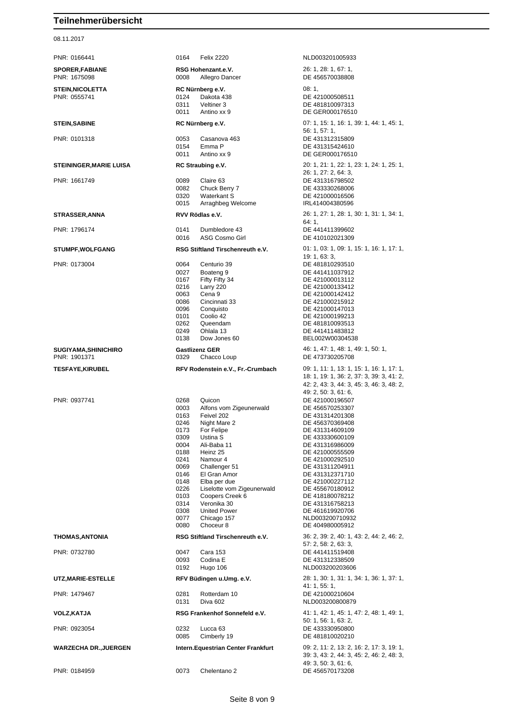08.11.2017

| PNR: 0166441                            | 0164<br><b>Felix 2220</b>                                                                                                                                                                                                                                                                                                                                                                                                                            | NLD003201005933                                                                                                                                                                                                                                                                                                                                                            |
|-----------------------------------------|------------------------------------------------------------------------------------------------------------------------------------------------------------------------------------------------------------------------------------------------------------------------------------------------------------------------------------------------------------------------------------------------------------------------------------------------------|----------------------------------------------------------------------------------------------------------------------------------------------------------------------------------------------------------------------------------------------------------------------------------------------------------------------------------------------------------------------------|
| <b>SPORER, FABIANE</b><br>PNR: 1675098  | RSG Hohenzant.e.V.<br>0008<br>Allegro Dancer                                                                                                                                                                                                                                                                                                                                                                                                         | 26: 1, 28: 1, 67: 1,<br>DE 456570038808                                                                                                                                                                                                                                                                                                                                    |
| <b>STEIN, NICOLETTA</b><br>PNR: 0555741 | RC Nürnberg e.V.<br>0124<br>Dakota 438<br>0311<br>Veltiner 3<br>0011<br>Antino xx 9                                                                                                                                                                                                                                                                                                                                                                  | 08:1,<br>DE 421000508511<br>DE 481810097313<br>DE GER000176510                                                                                                                                                                                                                                                                                                             |
| <b>STEIN, SABINE</b>                    | RC Nürnberg e.V.                                                                                                                                                                                                                                                                                                                                                                                                                                     | 07: 1, 15: 1, 16: 1, 39: 1, 44: 1, 45: 1,                                                                                                                                                                                                                                                                                                                                  |
| PNR: 0101318                            | 0053<br>Casanova 463<br>0154<br>Emma P<br>0011<br>Antino xx 9                                                                                                                                                                                                                                                                                                                                                                                        | 56: 1, 57: 1,<br>DE 431312315809<br>DE 431315424610<br>DE GER000176510                                                                                                                                                                                                                                                                                                     |
| <b>STEININGER, MARIE LUISA</b>          | RC Straubing e.V.                                                                                                                                                                                                                                                                                                                                                                                                                                    | 20: 1, 21: 1, 22: 1, 23: 1, 24: 1, 25: 1,                                                                                                                                                                                                                                                                                                                                  |
| PNR: 1661749                            | 0089<br>Claire 63<br>0082<br>Chuck Berry 7<br>0320<br>Waterkant S<br>0015<br>Arraghbeg Welcome                                                                                                                                                                                                                                                                                                                                                       | 26: 1, 27: 2, 64: 3,<br>DE 431316798502<br>DE 433330268006<br>DE 421000016506<br>IRL414004380596                                                                                                                                                                                                                                                                           |
| <b>STRASSER, ANNA</b>                   | RVV Rödlas e.V.                                                                                                                                                                                                                                                                                                                                                                                                                                      | 26: 1, 27: 1, 28: 1, 30: 1, 31: 1, 34: 1,<br>64: 1,                                                                                                                                                                                                                                                                                                                        |
| PNR: 1796174                            | 0141<br>Dumbledore 43<br>0016<br>ASG Cosmo Girl                                                                                                                                                                                                                                                                                                                                                                                                      | DE 441411399602<br>DE 410102021309                                                                                                                                                                                                                                                                                                                                         |
| <b>STUMPF, WOLFGANG</b>                 | RSG Stiftland Tirschenreuth e.V.                                                                                                                                                                                                                                                                                                                                                                                                                     | 01: 1, 03: 1, 09: 1, 15: 1, 16: 1, 17: 1,<br>19: 1, 63: 3,                                                                                                                                                                                                                                                                                                                 |
| PNR: 0173004                            | 0064<br>Centurio 39<br>0027<br>Boateng 9<br>0167<br>Fifty Fifty 34<br>0216<br>Larry 220<br>0063<br>Cena 9<br>0086<br>Cincinnati 33<br>0096<br>Conquisto<br>0101<br>Coolio 42<br>0262<br>Queendam<br>0249<br>Ohlala 13<br>0138<br>Dow Jones 60                                                                                                                                                                                                        | DE 481810293510<br>DE 441411037912<br>DE 421000013112<br>DE 421000133412<br>DE 421000142412<br>DE 421000215912<br>DE 421000147013<br>DE 421000199213<br>DE 481810093513<br>DE 441411483812<br>BEL002W00304538                                                                                                                                                              |
| <b>SUGIYAMA, SHINICHIRO</b>             | <b>Gastlizenz GER</b>                                                                                                                                                                                                                                                                                                                                                                                                                                | 46: 1, 47: 1, 48: 1, 49: 1, 50: 1,                                                                                                                                                                                                                                                                                                                                         |
| PNR: 1901371                            | 0329<br>Chacco Loup                                                                                                                                                                                                                                                                                                                                                                                                                                  | DE 473730205708                                                                                                                                                                                                                                                                                                                                                            |
| <b>TESFAYE,KIRUBEL</b>                  | RFV Rodenstein e.V., Fr.-Crumbach                                                                                                                                                                                                                                                                                                                                                                                                                    | 09: 1, 11: 1, 13: 1, 15: 1, 16: 1, 17: 1,<br>18: 1, 19: 1, 36: 2, 37: 3, 39: 3, 41: 2,<br>42: 2, 43: 3, 44: 3, 45: 3, 46: 3, 48: 2,                                                                                                                                                                                                                                        |
| PNR: 0937741                            | 0268<br>Quicon<br>0003<br>Alfons vom Zigeunerwald<br>0163<br>Feivel 202<br>0246<br>Night Mare 2<br>0173<br>For Felipe<br>0309<br>Ustina S<br>0004<br>Ali-Baba 11<br>0188<br>Heinz 25<br>0241<br>Namour 4<br>0069<br>Challenger 51<br>El Gran Amor<br>0146<br>0148<br>Elba per due<br>0226<br>Liselotte vom Zigeunerwald<br>0103<br>Coopers Creek 6<br>0314<br>Veronika 30<br>0308<br><b>United Power</b><br>0077<br>Chicago 157<br>Choceur 8<br>0080 | 49: 2, 50: 3, 61: 6,<br>DE 421000196507<br>DE 456570253307<br>DE 431314201308<br>DE 456370369408<br>DE 431314609109<br>DE 433330600109<br>DE 431316986009<br>DE 421000555509<br>DE 421000292510<br>DE 431311204911<br>DE 431312371710<br>DE 421000227112<br>DE 455670180912<br>DE 418180078212<br>DE 431316758213<br>DE 461619920706<br>NLD003200710932<br>DE 404980005912 |
| <b>THOMAS, ANTONIA</b>                  | RSG Stiftland Tirschenreuth e.V.                                                                                                                                                                                                                                                                                                                                                                                                                     | 36: 2, 39: 2, 40: 1, 43: 2, 44: 2, 46: 2,<br>57: 2, 58: 2, 63: 3,                                                                                                                                                                                                                                                                                                          |
| PNR: 0732780                            | Cara 153<br>0047<br>0093<br>Codina E<br>0192<br>Hugo 106                                                                                                                                                                                                                                                                                                                                                                                             | DE 441411519408<br>DE 431312338509<br>NLD003200203606                                                                                                                                                                                                                                                                                                                      |
| UTZ,MARIE-ESTELLE                       | RFV Büdingen u.Umg. e.V.                                                                                                                                                                                                                                                                                                                                                                                                                             | 28: 1, 30: 1, 31: 1, 34: 1, 36: 1, 37: 1,                                                                                                                                                                                                                                                                                                                                  |
| PNR: 1479467                            | 0281<br>Rotterdam 10<br>0131<br>Diva 602                                                                                                                                                                                                                                                                                                                                                                                                             | 41: 1, 55: 1,<br>DE 421000210604<br>NLD003200800879                                                                                                                                                                                                                                                                                                                        |
| <b>VOLZ,KATJA</b>                       | RSG Frankenhof Sonnefeld e.V.                                                                                                                                                                                                                                                                                                                                                                                                                        | 41: 1, 42: 1, 45: 1, 47: 2, 48: 1, 49: 1,                                                                                                                                                                                                                                                                                                                                  |
| PNR: 0923054                            | 0232<br>Lucca <sub>63</sub><br>0085<br>Cimberly 19                                                                                                                                                                                                                                                                                                                                                                                                   | 50: 1, 56: 1, 63: 2,<br>DE 433330950800<br>DE 481810020210                                                                                                                                                                                                                                                                                                                 |
| <b>WARZECHA DR., JUERGEN</b>            | Intern. Equestrian Center Frankfurt                                                                                                                                                                                                                                                                                                                                                                                                                  | 09: 2, 11: 2, 13: 2, 16: 2, 17: 3, 19: 1,<br>39: 3, 43: 2, 44: 3, 45: 2, 46: 2, 48: 3,<br>49: 3, 50: 3, 61: 6,                                                                                                                                                                                                                                                             |